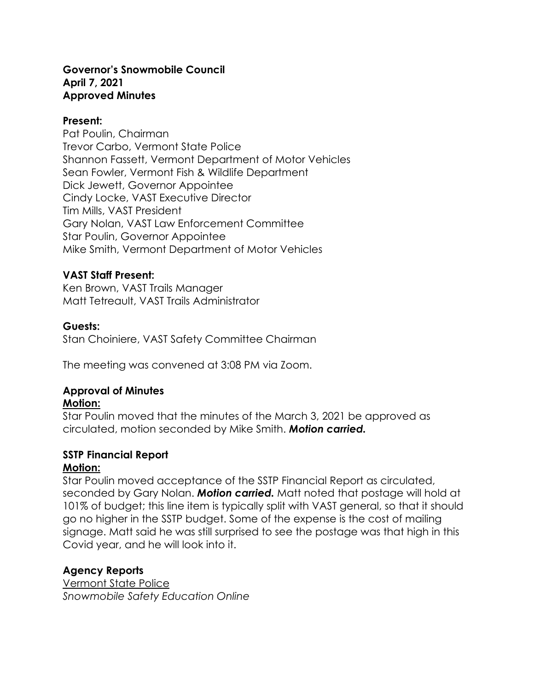#### **Governor's Snowmobile Council April 7, 2021 Approved Minutes**

#### **Present:**

Pat Poulin, Chairman Trevor Carbo, Vermont State Police Shannon Fassett, Vermont Department of Motor Vehicles Sean Fowler, Vermont Fish & Wildlife Department Dick Jewett, Governor Appointee Cindy Locke, VAST Executive Director Tim Mills, VAST President Gary Nolan, VAST Law Enforcement Committee Star Poulin, Governor Appointee Mike Smith, Vermont Department of Motor Vehicles

# **VAST Staff Present:**

Ken Brown, VAST Trails Manager Matt Tetreault, VAST Trails Administrator

#### **Guests:**

Stan Choiniere, VAST Safety Committee Chairman

The meeting was convened at 3:08 PM via Zoom.

# **Approval of Minutes**

#### **Motion:**

Star Poulin moved that the minutes of the March 3, 2021 be approved as circulated, motion seconded by Mike Smith. *Motion carried.*

#### **SSTP Financial Report Motion:**

Star Poulin moved acceptance of the SSTP Financial Report as circulated, seconded by Gary Nolan. *Motion carried.* Matt noted that postage will hold at 101% of budget; this line item is typically split with VAST general, so that it should go no higher in the SSTP budget. Some of the expense is the cost of mailing signage. Matt said he was still surprised to see the postage was that high in this Covid year, and he will look into it.

# **Agency Reports**

Vermont State Police *Snowmobile Safety Education Online*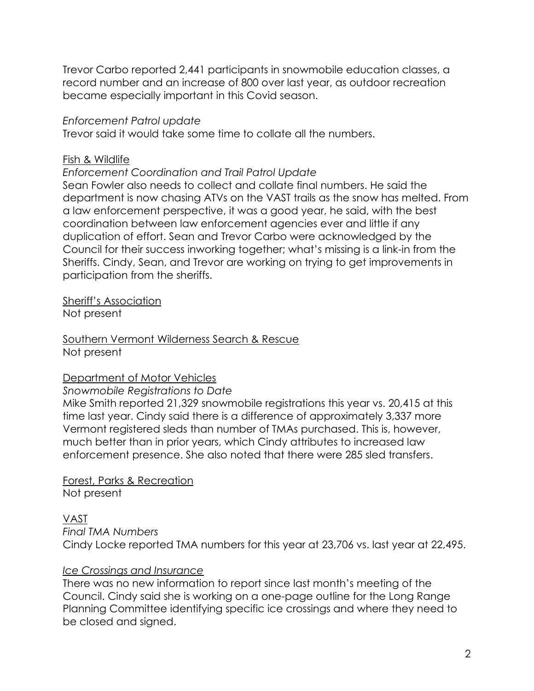Trevor Carbo reported 2,441 participants in snowmobile education classes, a record number and an increase of 800 over last year, as outdoor recreation became especially important in this Covid season.

#### *Enforcement Patrol update*

Trevor said it would take some time to collate all the numbers.

#### Fish & Wildlife

#### *Enforcement Coordination and Trail Patrol Update*

Sean Fowler also needs to collect and collate final numbers. He said the department is now chasing ATVs on the VAST trails as the snow has melted. From a law enforcement perspective, it was a good year, he said, with the best coordination between law enforcement agencies ever and little if any duplication of effort. Sean and Trevor Carbo were acknowledged by the Council for their success inworking together; what's missing is a link-in from the Sheriffs. Cindy, Sean, and Trevor are working on trying to get improvements in participation from the sheriffs.

Sheriff's Association Not present

Southern Vermont Wilderness Search & Rescue Not present

#### Department of Motor Vehicles

#### *Snowmobile Registrations to Date*

Mike Smith reported 21,329 snowmobile registrations this year vs. 20,415 at this time last year. Cindy said there is a difference of approximately 3,337 more Vermont registered sleds than number of TMAs purchased. This is, however, much better than in prior years, which Cindy attributes to increased law enforcement presence. She also noted that there were 285 sled transfers.

Forest, Parks & Recreation Not present

# VAST

*Final TMA Numbers*

Cindy Locke reported TMA numbers for this year at 23,706 vs. last year at 22,495.

#### *Ice Crossings and Insurance*

There was no new information to report since last month's meeting of the Council. Cindy said she is working on a one-page outline for the Long Range Planning Committee identifying specific ice crossings and where they need to be closed and signed.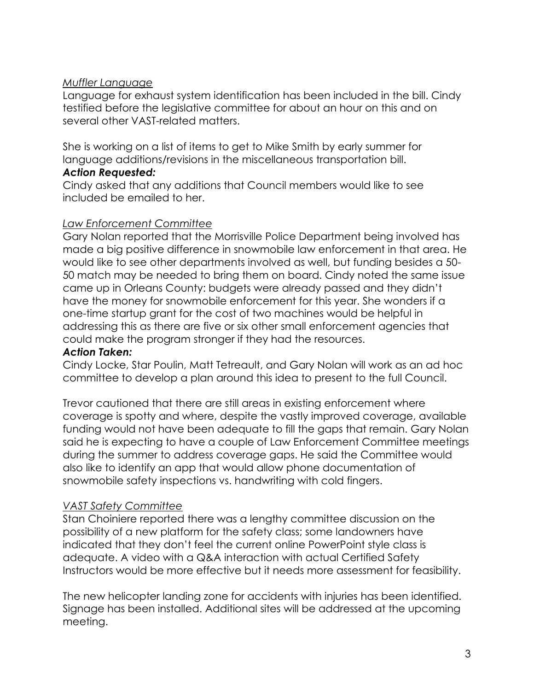## *Muffler Language*

Language for exhaust system identification has been included in the bill. Cindy testified before the legislative committee for about an hour on this and on several other VAST-related matters.

She is working on a list of items to get to Mike Smith by early summer for language additions/revisions in the miscellaneous transportation bill.

#### *Action Requested:*

Cindy asked that any additions that Council members would like to see included be emailed to her.

# *Law Enforcement Committee*

Gary Nolan reported that the Morrisville Police Department being involved has made a big positive difference in snowmobile law enforcement in that area. He would like to see other departments involved as well, but funding besides a 50- 50 match may be needed to bring them on board. Cindy noted the same issue came up in Orleans County: budgets were already passed and they didn't have the money for snowmobile enforcement for this year. She wonders if a one-time startup grant for the cost of two machines would be helpful in addressing this as there are five or six other small enforcement agencies that could make the program stronger if they had the resources.

#### *Action Taken:*

Cindy Locke, Star Poulin, Matt Tetreault, and Gary Nolan will work as an ad hoc committee to develop a plan around this idea to present to the full Council.

Trevor cautioned that there are still areas in existing enforcement where coverage is spotty and where, despite the vastly improved coverage, available funding would not have been adequate to fill the gaps that remain. Gary Nolan said he is expecting to have a couple of Law Enforcement Committee meetings during the summer to address coverage gaps. He said the Committee would also like to identify an app that would allow phone documentation of snowmobile safety inspections vs. handwriting with cold fingers.

# *VAST Safety Committee*

Stan Choiniere reported there was a lengthy committee discussion on the possibility of a new platform for the safety class; some landowners have indicated that they don't feel the current online PowerPoint style class is adequate. A video with a Q&A interaction with actual Certified Safety Instructors would be more effective but it needs more assessment for feasibility.

The new helicopter landing zone for accidents with injuries has been identified. Signage has been installed. Additional sites will be addressed at the upcoming meeting.